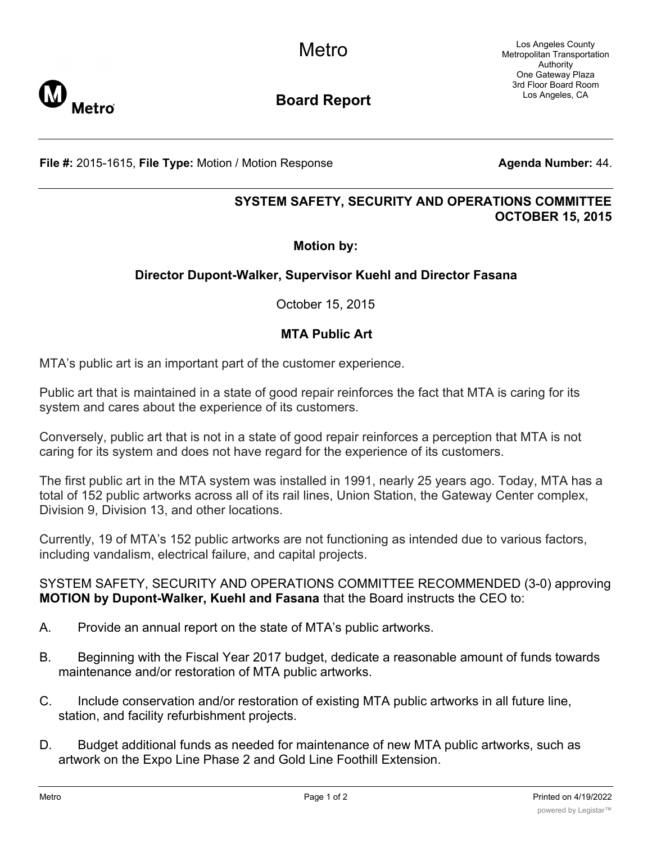Los Angeles County Metropolitan Transportation Authority One Gateway Plaza 3rd Floor Board Room Los Angeles, CA



**Board Report**

**File #:** 2015-1615, File Type: Motion / Motion Response **Agenta Number: 44.** 

# **SYSTEM SAFETY, SECURITY AND OPERATIONS COMMITTEE OCTOBER 15, 2015**

### **Motion by:**

## **Director Dupont-Walker, Supervisor Kuehl and Director Fasana**

October 15, 2015

### **MTA Public Art**

MTA's public art is an important part of the customer experience.

Public art that is maintained in a state of good repair reinforces the fact that MTA is caring for its system and cares about the experience of its customers.

Conversely, public art that is not in a state of good repair reinforces a perception that MTA is not caring for its system and does not have regard for the experience of its customers.

The first public art in the MTA system was installed in 1991, nearly 25 years ago. Today, MTA has a total of 152 public artworks across all of its rail lines, Union Station, the Gateway Center complex, Division 9, Division 13, and other locations.

Currently, 19 of MTA's 152 public artworks are not functioning as intended due to various factors, including vandalism, electrical failure, and capital projects.

#### SYSTEM SAFETY, SECURITY AND OPERATIONS COMMITTEE RECOMMENDED (3-0) approving **MOTION by Dupont-Walker, Kuehl and Fasana** that the Board instructs the CEO to:

- A. Provide an annual report on the state of MTA's public artworks.
- B. Beginning with the Fiscal Year 2017 budget, dedicate a reasonable amount of funds towards maintenance and/or restoration of MTA public artworks.
- C. Include conservation and/or restoration of existing MTA public artworks in all future line, station, and facility refurbishment projects.
- D. Budget additional funds as needed for maintenance of new MTA public artworks, such as artwork on the Expo Line Phase 2 and Gold Line Foothill Extension.